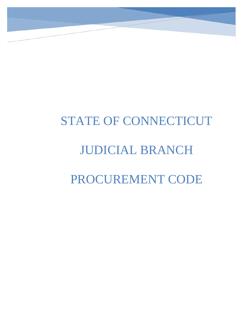# STATE OF CONNECTICUT JUDICIAL BRANCH PROCUREMENT CODE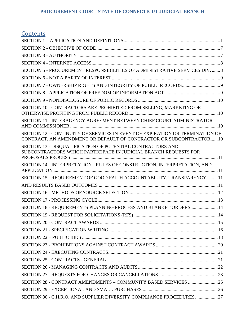| <u>Contents</u>                                                                                                                                    |  |
|----------------------------------------------------------------------------------------------------------------------------------------------------|--|
|                                                                                                                                                    |  |
|                                                                                                                                                    |  |
|                                                                                                                                                    |  |
|                                                                                                                                                    |  |
| SECTION 5 - PROCUREMENT RESPONSIBILITIES OF ADMINISTRATIVE SERVICES DIV8                                                                           |  |
|                                                                                                                                                    |  |
|                                                                                                                                                    |  |
|                                                                                                                                                    |  |
|                                                                                                                                                    |  |
| SECTION 10 - CONTRACTORS ARE PROHIBITED FROM SELLING, MARKETING OR                                                                                 |  |
| SECTION 11 - INTERAGENCY AGREEMENT BETWEEN CHIEF COURT ADMINISTRATOR                                                                               |  |
| SECTION 12 - CONTINUITY OF SERVICES IN EVENT OF EXPIRATION OR TERMINATION OF<br>CONTRACT, AN AMENDMENT OR DEFAULT OF CONTRACTOR OR SUBCONTRACTOR10 |  |
| SECTION 13 - DISQUALIFICATION OF POTENTIAL CONTRACTORS AND<br>SUBCONTRACTORS WHICH PARTICIPATE IN JUDICIAL BRANCH REQUESTS FOR                     |  |
| SECTION 14 - INTERPRETATION - RULES OF CONSTRUCTION, INTERPRETATION, AND                                                                           |  |
| SECTION 15 - REQUIREMENT OF GOOD FAITH ACCOUNTABILITY, TRANSPARENCY,  11                                                                           |  |
|                                                                                                                                                    |  |
|                                                                                                                                                    |  |
|                                                                                                                                                    |  |
| SECTION 18 - REQUIREMENTS PLANNING PROCESS AND BLANKET ORDERS  14                                                                                  |  |
|                                                                                                                                                    |  |
|                                                                                                                                                    |  |
|                                                                                                                                                    |  |
|                                                                                                                                                    |  |
|                                                                                                                                                    |  |
|                                                                                                                                                    |  |
|                                                                                                                                                    |  |
|                                                                                                                                                    |  |
|                                                                                                                                                    |  |
|                                                                                                                                                    |  |
|                                                                                                                                                    |  |
| SECTION 30 - C.H.R.O. AND SUPPLIER DIVERSITY COMPLIANCE PROCEDURES27                                                                               |  |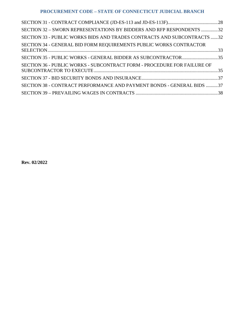| SECTION 32 - SWORN REPRESENTATIONS BY BIDDERS AND RFP RESPONDENTS 32    |  |
|-------------------------------------------------------------------------|--|
| SECTION 33 - PUBLIC WORKS BIDS AND TRADES CONTRACTS AND SUBCONTRACTS 32 |  |
| SECTION 34 - GENERAL BID FORM REQUIREMENTS PUBLIC WORKS CONTRACTOR      |  |
| SECTION 35 - PUBLIC WORKS - GENERAL BIDDER AS SUBCONTRACTOR35           |  |
| SECTION 36 - PUBLIC WORKS - SUBCONTRACT FORM - PROCEDURE FOR FAILURE OF |  |
|                                                                         |  |
| SECTION 38 - CONTRACT PERFORMANCE AND PAYMENT BONDS - GENERAL BIDS 37   |  |
|                                                                         |  |

**Rev. 02/2022**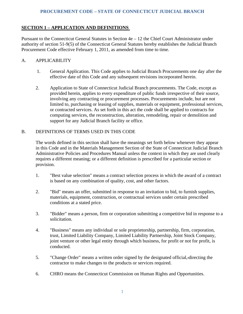# <span id="page-3-0"></span>**SECTION 1 – APPLICATION AND DEFINITIONS**

Pursuant to the Connecticut General Statutes in Section 4e – 12 the Chief Court Administrator under authority of section 51-9(5) of the Connecticut General Statutes hereby establishes the Judicial Branch Procurement Code effective February 1, 2011, as amended from time to time.

## A. APPLICABILITY

- 1. General Application. This Code applies to Judicial Branch Procurements one day after the effective date of this Code and any subsequent revisions incorporated herein.
- 2. Application to State of Connecticut Judicial Branch procurements. The Code, except as provided herein, applies to every expenditure of public funds irrespective of their source, involving any contracting or procurement processes. Procurements include, but are not limited to, purchasing or leasing of supplies, materials or equipment, professional services, or contracted services. As set forth in this act the code shall be applied to contracts for computing services, the reconstruction, alteration, remodeling, repair or demolition and support for any Judicial Branch facility or office.

## B.DEFINITIONS OF TERMS USED IN THIS CODE

The words defined in this section shall have the meanings set forth below whenever they appear in this Code and in the Materials Management Section of the State of Connecticut Judicial Branch Administrative Policies and Procedures Manual unless the context in which they are used clearly requires a different meaning; or a different definition is prescribed for a particular section or provision.

- 1. "Best value selection" means a contract selection process in which the award of a contract is based on any combination of quality, cost, and other factors.
- 2. "Bid" means an offer, submitted in response to an invitation to bid, to furnish supplies, materials, equipment, construction, or contractual services under certain prescribed conditions at a stated price.
- 3. "Bidder" means a person, firm or corporation submitting a competitive bid in response to a solicitation.
- 4. "Business" means any individual or sole proprietorship, partnership, firm, corporation, trust, Limited Liability Company, Limited Liability Partnership, Joint Stock Company, joint venture or other legal entity through which business, for profit or not for profit, is conducted.
- 5. "Change Order" means a written order signed by the designated official, directing the contractor to make changes to the products or services required.
- 6. CHRO means the Connecticut Commission on Human Rights and Opportunities.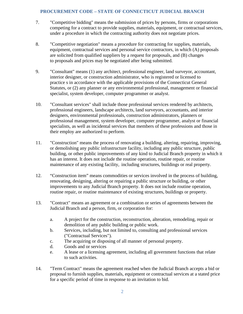- 7. "Competitive bidding" means the submission of prices by persons, firms or corporations competing for a contract to provide supplies, materials, equipment, or contractual services, under a procedure in which the contracting authority does not negotiate prices.
- 8. "Competitive negotiation" means a procedure for contracting for supplies, materials, equipment, contractual services and personal service contractors, in which (A) proposals are solicited from qualified suppliers by a request for proposals, and (B) changes to proposals and prices may be negotiated after being submitted.
- 9. "Consultant" means (1) any architect, professional engineer, land surveyor, accountant, interior designer, or construction administrator, who is registered or licensed to practice s in accordance with the applicable provisions of the Connecticut General Statutes, or (2) any planner or any environmental professional, management or financial specialist, system developer, computer programmer or analyst.
- 10. "Consultant services" shall include those professional services rendered by architects, professional engineers, landscape architects, land surveyors, accountants, and interior designers, environmental professionals, construction administrators, planners or professional management, system developer, computer programmer, analyst or financial specialists, as well as incidental services that members of these professions and those in their employ are authorized to perform.
- 11. "Construction" means the process of renovating a building, altering, repairing, improving, or demolishing any public infrastructure facility, including any public structure, public building, or other public improvements of any kind to Judicial Branch property in which it has an interest. It does not include the routine operation, routine repair, or routine maintenance of any existing facility, including structures, buildings or real property.
- 12. "Construction item" means commodities or services involved in the process of building, renovating, designing, altering or repairing a public structure or building, or other improvements to any Judicial Branch property. It does not include routine operation, routine repair, or routine maintenance of existing structures, buildings or property.
- 13. "Contract" means an agreement or a combination or series of agreements between the Judicial Branch and a person, firm, or corporation for:
	- a. A project for the construction, reconstruction, alteration, remodeling, repair or demolition of any public building or public work.
	- b. Services, including, but not limited to, consulting and professional services ("Contractual Services").
	- c. The acquiring or disposing of all manner of personal property.
	- d. Goods and or services
	- e. A lease or a licensing agreement, including all government functions that relate to such activities.
- 14. "Term Contract" means the agreement reached when the Judicial Branch accepts a bid or proposal to furnish supplies, materials, equipment or contractual services at a stated price for a specific period of time in response to an invitation to bid.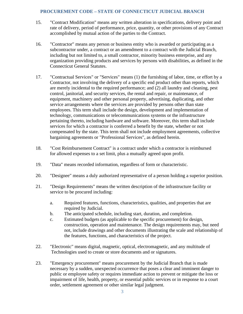- 15. "Contract Modification" means any written alteration in specifications, delivery point and rate of delivery, period of performance, price, quantity, or other provisions of any Contract accomplished by mutual action of the parties to the Contract.
- 16. "Contractor" means any person or business entity who is awarded or participating as a subcontractor under, a contract or an amendment to a contract with the Judicial Branch, including but not limited to, a small contractor, minority business enterprise, and any organization providing products and services by persons with disabilities, as defined in the Connecticut General Statutes.
- 17. "Contractual Services" or "Services" means (1) the furnishing of labor, time, or effort by a Contractor, not involving the delivery of a specific end product other than reports, which are merely incidental to the required performance; and (2) all laundry and cleaning, pest control, janitorial, and security services, the rental and repair, or maintenance, of equipment, machinery and other personal property, advertising, duplicating, and other service arrangements where the services are provided by persons other than state employees. This term shall include the design, development and implementation of technology, communications or telecommunications systems or the infrastructure pertaining thereto, including hardware and software. Moreover, this term shall include services for which a contractor is conferred a benefit by the state, whether or not compensated by the state. This term shall not include employment agreements, collective bargaining agreements or "Professional Services", as defined herein.
- 18. "Cost Reimbursement Contract" is a contract under which a contractor is reimbursed for allowed expenses to a set limit, plus a mutually agreed upon profit.
- 19. "Data" means recorded information, regardless of form or characteristic.
- 20. "Designee" means a duly authorized representative of a person holding a superior position.
- 21. "Design Requirements" means the written description of the infrastructure facility or service to be procured including:
	- a. Required features, functions, characteristics, qualities, and properties that are required by Judicial.
	- b. The anticipated schedule, including start, duration, and completion.
	- c. Estimated budgets (as applicable to the specific procurement) for design, construction, operation and maintenance. The design requirements may, but need not, include drawings and other documents illustrating the scale and relationship of the features, functions, and characteristics of the project.
- 22. "Electronic" means digital, magnetic, optical, electromagnetic, and any multitude of Technologies used to create or store documents and or signatures.
- 23. "Emergency procurement" means procurement by the Judicial Branch that is made necessary by a sudden, unexpected occurrence that poses a clear and imminent danger to public or employee safety or requires immediate action to prevent or mitigate the loss or impairment of life, health, property, or essential public services or in response to a court order, settlement agreement or other similar legal judgment.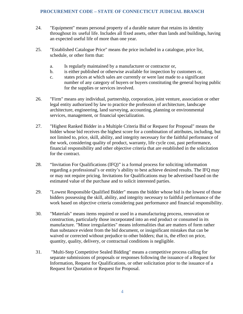- 24. "Equipment" means personal property of a durable nature that retains its identity throughout its useful life. Includes all fixed assets, other than lands and buildings, having an expected useful life of more than one year.
- 25. "Established Catalogue Price" means the price included in a catalogue, price list, schedule, or other form that:
	- a. Is regularly maintained by a manufacturer or contractor or,
	- b. is either published or otherwise available for inspection by customers or,
	- c. states prices at which sales are currently or were last made to a significant number of any category of buyers or buyers constituting the general buying public for the supplies or services involved.
- 26. "Firm" means any individual, partnership, corporation, joint venture, association or other legal entity authorized by law to practice the profession of architecture, landscape architecture, engineering, land surveying, accounting, planning or environmental services, management, or financial specialization.
- 27. "Highest Ranked Bidder in a Multiple Criteria Bid or Request for Proposal" means the bidder whose bid receives the highest score for a combination of attributes, including, but not limited to, price, skill, ability, and integrity necessary for the faithful performance of the work, considering quality of product, warranty, life cycle cost, past performance, financial responsibility and other objective criteria that are established in the solicitation for the contract.
- 28. "Invitation For Qualifications (IFQ)" is a formal process for soliciting information regarding a professional's or entity's ability to best achieve desired results. The IFQ may or may not require pricing. Invitations for Qualifications may be advertised based on the estimated value of the purchase and to solicit interested parties.
- 29. "Lowest Responsible Qualified Bidder" means the bidder whose bid is the lowest of those bidders possessing the skill, ability, and integrity necessary to faithful performance of the work based on objective criteria considering past performance and financial responsibility.
- 30. "Materials" means items required or used in a manufacturing process, renovation or construction, particularly those incorporated into an end product or consumed in its manufacture. "Minor irregularities" means informalities that are matters of form rather than substance evident from the bid document, or insignificant mistakes that can be waived or corrected without prejudice to other bidders; that is, the effect on price, quantity, quality, delivery, or contractual conditions is negligible.
- 31. "Multi-Step Competitive Sealed Bidding" means a competitive process calling for separate submissions of proposals or responses following the issuance of a Request for Information, Request for Qualifications, or other solicitation prior to the issuance of a Request for Quotation or Request for Proposal.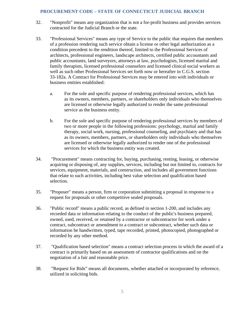- 32. "Nonprofit" means any organization that is not a for-profit business and provides services contracted for the Judicial Branch or the state.
- 33. "Professional Services" means any type of Service to the public that requires that members of a profession rendering such service obtain a license or other legal authorization as a condition precedent to the rendition thereof, limited to the Professional Services of architects, professional engineers, landscape architects, certified public accountants and public accountants, land surveyors, attorneys at law, psychologists, licensed marital and family therapists, licensed professional counselors and licensed clinical social workers as well as such other Professional Services set forth now or hereafter in C.G.S. section 33-182a. A Contract for Professional Services may be entered into with individuals or business entities established:
	- a. For the sole and specific purpose of rendering professional services, which has as its owners, members, partners, or shareholders only individuals who themselves are licensed or otherwise legally authorized to render the same professional service as the business entity.
	- b. For the sole and specific purpose of rendering professional services by members of two or more people in the following professions: psychology, marital and family therapy, social work, nursing, professional counseling, and psychiatry and that has as its owners, members, partners, or shareholders only individuals who themselves are licensed or otherwise legally authorized to render one of the professional services for which the business entity was created.
- 34. "Procurement" means contracting for, buying, purchasing, renting, leasing, or otherwise acquiring or disposing of, any supplies, services, including but not limited to, contracts for services, equipment, materials, and construction, and includes all government functions that relate to such activities, including best value selection and qualification based selection.
- 35. "Proposer" means a person, firm or corporation submitting a proposal in response to a request for proposals or other competitive sealed proposals.
- 36. "Public record" means a public record, as defined in section 1-200, and includes any recorded data or information relating to the conduct of the public's business prepared, owned, used, received, or retained by a contractor or subcontractor for work under a contract, subcontract or amendment to a contract or subcontract, whether such data or information be handwritten, typed, tape recorded, printed, photocopied, photographed or recorded by any other method.
- 37. "Qualification based selection" means a contract selection process in which the award of a contract is primarily based on an assessment of contractor qualifications and on the negotiation of a fair and reasonable price.
- 38. "Request for Bids" means all documents, whether attached or incorporated by reference, utilized in soliciting bids.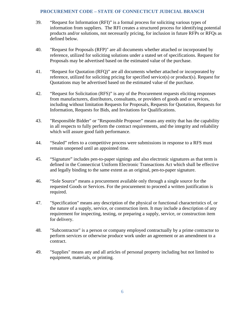- 39. "Request for Information (RFI)" is a formal process for soliciting various types of information from suppliers. The RFI creates a structured process for identifying potential products and/or solutions, not necessarily pricing, for inclusion in future RFPs or RFQs as defined below.
- 40. "Request for Proposals (RFP)" are all documents whether attached or incorporated by reference, utilized for soliciting solutions under a stated set of specifications. Request for Proposals may be advertised based on the estimated value of the purchase.
- 41. "Request for Quotation (RFQ)" are all documents whether attached or incorporated by reference, utilized for soliciting pricing for specified service(s) or product(s). Request for Quotations may be advertised based on the estimated value of the purchase.
- 42. "Request for Solicitation (RFS)" is any of the Procurement requests eliciting responses from manufacturers, distributors, consultants, or providers of goods and or services, including without limitation Requests for Proposals, Requests for Quotation, Requests for Information, Requests for Bids, and Invitations for Qualifications.
- 43. "Responsible Bidder" or "Responsible Proposer" means any entity that has the capability in all respects to fully perform the contract requirements, and the integrity and reliability which will assure good faith performance.
- 44. "Sealed" refers to a competitive process were submissions in response to a RFS must remain unopened until an appointed time.
- 45. "Signature" includes pen-to-paper signings and also electronic signatures as that term is defined in the Connecticut Uniform Electronic Transactions Act which shall be effective and legally binding to the same extent as an original, pen-to-paper signature.
- 46. "Sole Source" means a procurement available only through a single source for the requested Goods or Services. For the procurement to proceed a written justification is required.
- 47. "Specification" means any description of the physical or functional characteristics of, or the nature of a supply, service, or construction item. It may include a description of any requirement for inspecting, testing, or preparing a supply, service, or construction item for delivery.
- 48. "Subcontractor" is a person or company employed contractually by a prime contractor to perform services or otherwise produce work under an agreement or an amendment to a contract.
- 49. "Supplies" means any and all articles of personal property including but not limited to equipment, materials, or printing.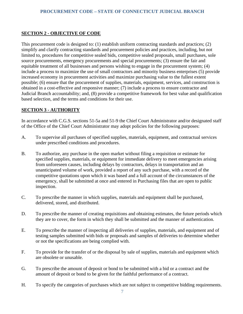# <span id="page-9-0"></span>**SECTION 2 - OBJECTIVE OF CODE**

This procurement code is designed to: (1) establish uniform contracting standards and practices; (2) simplify and clarify contracting standards and procurement policies and practices, including, but not limited to, procedures for competitive sealed bids, competitive sealed proposals, small purchases, sole source procurements, emergency procurements and special procurements; (3) ensure the fair and equitable treatment of all businesses and persons wishing to engage in the procurement system; (4) include a process to maximize the use of small contractors and minority business enterprises (5) provide increased economy in procurement activities and maximize purchasing value to the fullest extent possible; (6) ensure that the procurement of supplies, materials, equipment, services, and construction is obtained in a cost-effective and responsive manner; (7) include a process to ensure contractor and Judicial Branch accountability; and, (8) provide a competitive framework for best value and qualification based selection, and the terms and conditions for their use.

# <span id="page-9-1"></span>**SECTION 3 - AUTHORITY**

In accordance with C.G.S. sections 51-5a and 51-9 the Chief Court Administrator and/or designated staff of the Office of the Chief Court Administrator may adopt policies for the following purposes:

- A. To supervise all purchases of specified supplies, materials, equipment, and contractual services under prescribed conditions and procedures.
- B. To authorize, any purchase in the open market without filing a requisition or estimate for specified supplies, materials, or equipment for immediate delivery to meet emergencies arising from unforeseen causes, including delays by contractors, delays in transportation and an unanticipated volume of work, provided a report of any such purchase, with a record of the competitive quotations upon which it was based and a full account of the circumstances of the emergency, shall be submitted at once and entered in Purchasing files that are open to public inspection.
- C. To prescribe the manner in which supplies, materials and equipment shall be purchased, delivered, stored, and distributed.
- D. To prescribe the manner of creating requisitions and obtaining estimates, the future periods which they are to cover, the form in which they shall be submitted and the manner of authentication.
- E. To prescribe the manner of inspecting all deliveries of supplies, materials, and equipment and of testing samples submitted with bids or proposals and samples of deliveries to determine whether or not the specifications are being complied with.
- F. To provide for the transfer of or the disposal by sale of supplies, materials and equipment which are obsolete or unusable.
- G. To prescribe the amount of deposit or bond to be submitted with a bid or a contract and the amount of deposit or bond to be given for the faithful performance of a contract.
- H. To specify the categories of purchases which are not subject to competitive bidding requirements.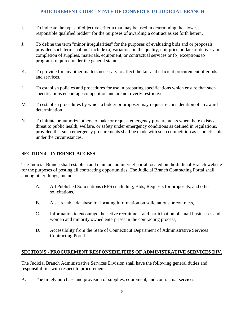- I. To indicate the types of objective criteria that may be used in determining the "lowest responsible qualified bidder" for the purposes of awarding a contract as set forth herein.
- J. To define the term "minor irregularities" for the purposes of evaluating bids and or proposals provided such term shall not include (a) variations in the quality, unit price or date of delivery or completion of supplies, materials, equipment, or contractual services or (b) exceptions to programs required under the general statutes.
- K. To provide for any other matters necessary to affect the fair and efficient procurement of goods and services.
- L. To establish policies and procedures for use in preparing specifications which ensure that such specifications encourage competition and are not overly restrictive.
- M. To establish procedures by which a bidder or proposer may request reconsideration of an award determination.
- N. To initiate or authorize others to make or request emergency procurements when there exists a threat to public health, welfare, or safety under emergency conditions as defined in regulations, provided that such emergency procurements shall be made with such competition as is practicable under the circumstances.

# <span id="page-10-0"></span>**SECTION 4 - INTERNET ACCESS**

The Judicial Branch shall establish and maintain an internet portal located on the Judicial Branch website for the purposes of posting all contracting opportunities. The Judicial Branch Contracting Portal shall, among other things, include:

- A. All Published Solicitations (RFS) including, Bids, Requests for proposals, and other solicitations,
- B. A searchable database for locating information on solicitations or contracts,
- C. Information to encourage the active recruitment and participation of small businesses and women and minority owned enterprises in the contracting process,
- D. Accessibility from the State of Connecticut Department of Administrative Services Contracting Portal.

# <span id="page-10-1"></span>**SECTION 5 - PROCUREMENT RESPONSIBILITIES OF ADMINISTRATIVE SERVICES DIV.**

The Judicial Branch Administrative Services Division shall have the following general duties and responsibilities with respect to procurement:

A. The timely purchase and provision of supplies, equipment, and contractual services.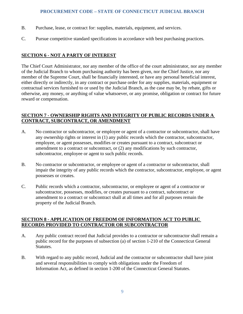- B. Purchase, lease, or contract for: supplies, materials, equipment, and services.
- C. Pursue competitive standard specifications in accordance with best purchasing practices.

# <span id="page-11-0"></span>**SECTION 6 - NOT A PARTY OF INTEREST**

The Chief Court Administrator, nor any member of the office of the court administrator, nor any member of the Judicial Branch to whom purchasing authority has been given, nor the Chief Justice, nor any member of the Supreme Court, shall be financially interested, or have any personal beneficial interest, either directly or indirectly, in any contract or purchase order for any supplies, materials, equipment or contractual services furnished to or used by the Judicial Branch, as the case may be, by rebate, gifts or otherwise, any money, or anything of value whatsoever, or any promise, obligation or contract for future reward or compensation.

# <span id="page-11-1"></span>**SECTION 7 - OWNERSHIP RIGHTS AND INTEGRITY OF PUBLIC RECORDS UNDER A CONTRACT, SUBCONTRACT, OR AMENDMENT**

- A. No contractor or subcontractor, or employee or agent of a contractor or subcontractor, shall have any ownership rights or interest in (1) any public records which the contractor, subcontractor, employee, or agent possesses, modifies or creates pursuant to a contract, subcontract or amendment to a contract or subcontract, or (2) any modifications by such contractor, subcontractor, employee or agent to such public records.
- B. No contractor or subcontractor, or employee or agent of a contractor or subcontractor, shall impair the integrity of any public records which the contractor, subcontractor, employee, or agent possesses or creates.
- C. Public records which a contractor, subcontractor, or employee or agent of a contractor or subcontractor, possesses, modifies, or creates pursuant to a contract, subcontract or amendment to a contract or subcontract shall at all times and for all purposes remain the property of the Judicial Branch.

# <span id="page-11-2"></span>**SECTION 8 - APPLICATION OF FREEDOM OF INFORMATION ACT TO PUBLIC RECORDS PROVIDED TO CONTRACTOR OR SUBCONTRACTOR**

- A. Any public contract record that Judicial provides to a contractor or subcontractor shall remain a public record for the purposes of subsection (a) of section 1-210 of the Connecticut General Statutes.
- B. With regard to any public record, Judicial and the contractor or subcontractor shall have joint and several responsibilities to comply with obligations under the Freedom of Information Act, as defined in section 1-200 of the Connecticut General Statutes.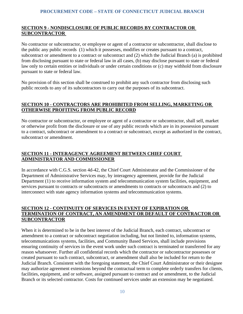# <span id="page-12-0"></span>**SECTION 9 - NONDISCLOSURE OF PUBLIC RECORDS BY CONTRACTOR OR SUBCONTRACTOR**

No contractor or subcontractor, or employee or agent of a contractor or subcontractor, shall disclose to the public any public records (1) which it possesses, modifies or creates pursuant to a contract, subcontract or amendment to a contract or subcontract and (2) which the Judicial Branch (a) is prohibited from disclosing pursuant to state or federal law in all cases, (b) may disclose pursuant to state or federal law only to certain entities or individuals or under certain conditions or (c) may withhold from disclosure pursuant to state or federal law.

No provision of this section shall be construed to prohibit any such contractor from disclosing such public records to any of its subcontractors to carry out the purposes of its subcontract.

# <span id="page-12-1"></span>**SECTION 10 - CONTRACTORS ARE PROHIBITED FROM SELLING, MARKETING OR OTHERWISE PROFITING FROM PUBLIC RECORD**

No contractor or subcontractor, or employee or agent of a contractor or subcontractor, shall sell, market or otherwise profit from the disclosure or use of any public records which are in its possession pursuant to a contract, subcontract or amendment to a contract or subcontract, except as authorized in the contract, subcontract or amendment.

# <span id="page-12-2"></span>**SECTION 11 - INTERAGENCY AGREEMENT BETWEEN CHIEF COURT ADMINISTRATOR AND COMMISSIONER**

In accordance with C.G.S. section 4d-42, the Chief Court Administrator and the Commissioner of the Department of Administrative Services may, by interagency agreement, provide for the Judicial Department (1) to receive information system and telecommunication system facilities, equipment, and services pursuant to contracts or subcontracts or amendments to contracts or subcontracts and (2) to interconnect with state agency information systems and telecommunication systems.

# <span id="page-12-3"></span>**SECTION 12 - CONTINUITY OF SERVICES IN EVENT OF EXPIRATION OR TERMINATION OF CONTRACT, AN AMENDMENT OR DEFAULT OF CONTRACTOR OR SUBCONTRACTOR**

When it is determined to be in the best interest of the Judicial Branch, each contract, subcontract or amendment to a contract or subcontract negotiation including, but not limited to, information systems, telecommunications systems, facilities, and Community Based Services, shall include provisions ensuring continuity of services in the event work under such contract is terminated or transferred for any reason whatsoever. Further all confidential records which the contractor or subcontractor possesses or created pursuant to such contract, subcontract, or amendment shall also be included for return to the Judicial Branch. Consistent with the foregoing statement, the Chief Court Administrator or their designee may authorize agreement extensions beyond the contractual term to complete orderly transfers for clients, facilities, equipment, and or software, assigned pursuant to contract and or amendment, to the Judicial Branch or its selected contractor. Costs for continued services under an extension may be negotiated.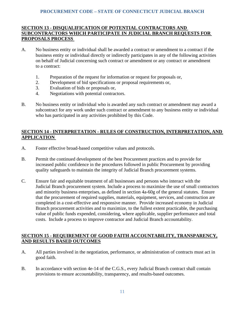# <span id="page-13-0"></span>**SECTION 13 - DISQUALIFICATION OF POTENTIAL CONTRACTORS AND SUBCONTRACTORS WHICH PARTICIPATE IN JUDICIAL BRANCH REQUESTS FOR PROPOSALS PROCESS**

- A. No business entity or individual shall be awarded a contract or amendment to a contract if the business entity or individual directly or indirectly participates in any of the following activities on behalf of Judicial concerning such contract or amendment or any contract or amendment to a contract:
	- 1. Preparation of the request for information or request for proposals or,
	- 2. Development of bid specifications or proposal requirements or,
	- 3. Evaluation of bids or proposals or,
	- 4. Negotiations with potential contractors.
- B. No business entity or individual who is awarded any such contract or amendment may award a subcontract for any work under such contract or amendment to any business entity or individual who has participated in any activities prohibited by this Code.

# <span id="page-13-1"></span>**SECTION 14 - INTERPRETATION - RULES OF CONSTRUCTION, INTERPRETATION, AND APPLICATION**

- A. Foster effective broad-based competitive values and protocols.
- B. Permit the continued development of the best Procurement practices and to provide for increased public confidence in the procedures followed in public Procurement by providing quality safeguards to maintain the integrity of Judicial Branch procurement systems.
- C. Ensure fair and equitable treatment of all businesses and persons who interact with the Judicial Branch procurement system. Include a process to maximize the use of small contractors and minority business enterprises, as defined in section 4a-60g of the general statutes. Ensure that the procurement of required supplies, materials, equipment, services, and construction are completed in a cost-effective and responsive manner. Provide increased economy in Judicial Branch procurement activities and to maximize, to the fullest extent practicable, the purchasing value of public funds expended, considering, where applicable, supplier performance and total costs. Include a process to improve contractor and Judicial Branch accountability.

# <span id="page-13-3"></span><span id="page-13-2"></span>**SECTION 15 - REQUIREMENT OF GOOD FAITH ACCOUNTABILITY, TRANSPARENCY, AND RESULTS BASED OUTCOMES**

- A. All parties involved in the negotiation, performance, or administration of contracts must act in good faith.
- B. In accordance with section 4e-14 of the C.G.S., every Judicial Branch contract shall contain provisions to ensure accountability, transparency, and results-based outcomes.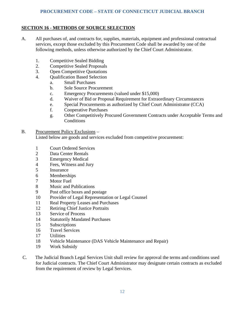# <span id="page-14-0"></span>**SECTION 16 - METHODS OF SOURCE SELECTION**

- A. All purchases of, and contracts for, supplies, materials, equipment and professional contractual services, except those excluded by this Procurement Code shall be awarded by one of the following methods, unless otherwise authorized by the Chief Court Administrator.
	- 1. Competitive Sealed Bidding<br>2. Competitive Sealed Proposa
	- Competitive Sealed Proposals
	- 3. Open Competitive Quotations
	- 4. Qualification Based Selection
		- a. Small Purchases
		- b. Sole Source Procurement
		- c. Emergency Procurements (valued under \$15,000)
		- d. Waiver of Bid or Proposal Requirement for Extraordinary Circumstances
		- e. Special Procurements as authorized by Chief Court Administrator (CCA)
		- f. Cooperative Purchases
		- g. Other Competitively Procured Government Contracts under Acceptable Terms and **Conditions**

## B. Procurement Policy Exclusions –

Listed below are goods and services excluded from competitive procurement:

- 1 Court Ordered Services
- 2 Data Center Rentals
- 3 Emergency Medical<br>4 Fees, Witness and Ju
- Fees, Witness and Jury
- 5 Insurance
- 6 Memberships
- 7 Motor Fuel
- 8 Music and Publications
- 9 Post office boxes and postage
- 10 Provider of Legal Representation or Legal Counsel
- 11 Real Property Leases and Purchases
- 12 Retiring Chief Justice Portraits
- 13 Service of Process
- 14 Statutorily Mandated Purchases
- 15 Subscriptions
- 16 Travel Services
- 17 Utilities
- 18 Vehicle Maintenance (DAS Vehicle Maintenance and Repair)
- 19 Work Subsidy
- C. The Judicial Branch Legal Services Unit shall review for approval the terms and conditions used for Judicial contracts. The Chief Court Administrator may designate certain contracts as excluded from the requirement of review by Legal Services.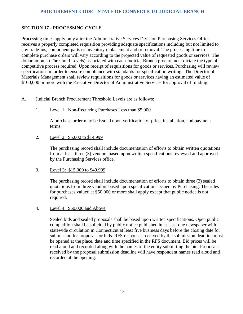# <span id="page-15-0"></span>**SECTION 17 - PROCESSING CYCLE**

Processing times apply only after the Administrative Services Division Purchasing Services Office receives a properly completed requisition providing adequate specifications including but not limited to any trade-ins, component parts or inventory replacement and or removal. The processing time to complete purchase orders will vary according to the projected value of requested goods or services. The dollar amount (Threshold Levels) associated with each Judicial Branch procurement dictate the type of competitive process required. Upon receipt of requisitions for goods or services, Purchasing will review specifications in order to ensure compliance with standards for specification writing. The Director of Materials Management shall review requisitions for goods or services having an estimated value of \$100,000 or more with the Executive Director of Administrative Services for approval of funding.

# A. Judicial Branch Procurement Threshold Levels are as follows:

1. Level 1: Non-Recurring Purchases Less than \$5,000

A purchase order may be issued upon verification of price, installation, and payment terms.

2. Level 2: \$5,000 to \$14,999

The purchasing record shall include documentation of efforts to obtain written quotations from at least three (3) vendors based upon written specifications reviewed and approved by the Purchasing Services office.

# 3. **L**evel 3: \$15,000 to \$49,999

The purchasing record shall include documentation of efforts to obtain three (3) sealed quotations from three vendors based upon specifications issued by Purchasing. The rules for purchases valued at \$50,000 or more shall apply except that public notice is not required.

# 4. Level 4: \$50,000 and Above

Sealed bids and sealed proposals shall be based upon written specifications. Open public competition shall be solicited by public notice published in at least one newspaper with statewide circulation in Connecticut at least five business days before the closing date for submission for proposals or bids. RFS responses received by the submission deadline must be opened at the place, date and time specified in the RFS document. Bid prices will be read aloud and recorded along with the names of the entity submitting the bid. Proposals received by the proposal submission deadline will have respondent names read aloud and recorded at the opening.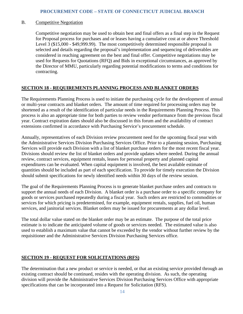#### B. Competitive Negotiation

Competitive negotiation may be used to obtain best and final offers as a final step in the Request for Proposal process for purchases and or leases having a cumulative cost at or above Threshold Level 3 (\$15,000 - \$49,999.99). The most competitively determined responsible proposal is selected and details regarding the proposal's implementation and sequencing of deliverables are considered in reaching agreement on the best and final offer. Competitive negotiations may be used for Requests for Quotations (RFQ) and Bids in exceptional circumstances, as approved by the Director of MMU, particularly regarding potential modifications to terms and conditions for contracting.

## <span id="page-16-0"></span>**SECTION 18 - REQUIREMENTS PLANNING PROCESS AND BLANKET ORDERS**

The Requirements Planning Process is used to initiate the purchasing cycle for the development of annual or multi-year contracts and blanket orders. The amount of time required for processing orders may be shortened as a result of the identification of particular needs in the Requirements Planning Process. This process is also an appropriate time for both parties to review vendor performance from the previous fiscal year. Contract expiration dates should also be discussed in this forum and the availability of contract extensions confirmed in accordance with Purchasing Service's procurement schedule.

Annually, representatives of each Division review procurement need for the upcoming fiscal year with the Administrative Services Division Purchasing Services Office. Prior to a planning session, Purchasing Services will provide each Division with a list of blanket purchase orders for the most recent fiscal year. Divisions should review the list of blanket orders and provide updates where needed. During the annual review, contract services, equipment rentals, leases for personal property and planned capital expenditures can be evaluated. When capital equipment is involved, the best available estimate of quantities should be included as part of each specification. To provide for timely execution the Division should submit specifications for newly identified needs within 30 days of the review session.

The goal of the Requirements Planning Process is to generate blanket purchase orders and contracts to support the annual needs of each Division. A blanket order is a purchase order to a specific company for goods or services purchased repeatedly during a fiscal year. Such orders are restricted to commodities or services for which pricing is predetermined, for example, equipment rentals, supplies, fuel oil, human services, and janitorial services. Blanket orders may be issued for procurements at any dollar level.

The total dollar value stated on the blanket order may be an estimate. The purpose of the total price estimate is to indicate the anticipated volume of goods or services needed. The estimated value is also used to establish a maximum value that cannot be exceeded by the vendor without further review by the requisitioner and the Administrative Services Division Purchasing Services office.

# <span id="page-16-1"></span>**SECTION 19 - REQUEST FOR SOLICITATIONS (RFS)**

The determination that a new product or service is needed, or that an existing service provided through an existing contract should be continued, resides with the operating division. As such, the operating division will provide the Administrative Services Division Purchasing Services Office with appropriate specifications that can be incorporated into a Request for Solicitation (RFS).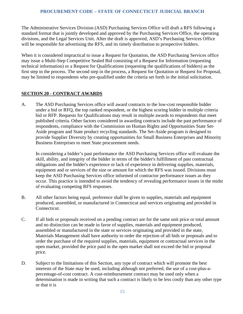The Administrative Services Division (ASD) Purchasing Services Office will draft a RFS following a standard format that is jointly developed and approved by the Purchasing Services Office, the operating divisions, and the Legal Services Unit. After the draft is approved, ASD's Purchasing Services Office will be responsible for advertising the RFS, and its timely distribution to prospective bidders.

When it is considered impractical to issue a Request for Quotation, the ASD Purchasing Services office may issue a Multi-Step Competitive Sealed Bid consisting of a Request for Information (requesting technical information) or a Request for Qualifications (requesting the qualifications of bidders) as the first step in the process. The second step in the process, a Request for Quotation or Request for Proposal, may be limited to respondents who pre-qualified under the criteria set forth in the initial solicitation.

# <span id="page-17-0"></span>**SECTION 20 - CONTRACT AWARDS**

A. The ASD Purchasing Services office will award contracts to the low-cost responsible bidder under a bid or RFQ, the top ranked respondent, or the highest scoring bidder in multiple criteria bid or RFP. Requests for Qualifications may result in multiple awards to respondents that meet published criteria. Other factors considered in awarding contracts include the past performance of respondents, compliance with the Commission on Human Rights and Opportunities State Set-Aside program and State product recycling standards. The Set-Aside program is designed to provide Supplier Diversity by creating opportunities for Small Business Enterprises and Minority Business Enterprises to meet State procurement needs.

In considering a bidder's past performance the ASD Purchasing Services office will evaluate the skill, ability, and integrity of the bidder in terms of the bidder's fulfillment of past contractual obligations and the bidder's experience or lack of experience in delivering supplies, materials, equipment and or services of the size or amount for which the RFS was issued. Divisions must keep the ASD Purchasing Services office informed of contractor performance issues as they occur. This practice is intended to avoid the tendency of revealing performance issues in the midst of evaluating competing RFS responses.

- B. All other factors being equal, preference shall be given to supplies, materials and equipment produced, assembled, or manufactured in Connecticut and services originating and provided in Connecticut.
- C. If all bids or proposals received on a pending contract are for the same unit price or total amount and no distinction can be made in favor of supplies, materials and equipment produced, assembled or manufactured in the state or services originating and provided in the state, Materials Management shall have authority to order the rejection of all bids or proposals and to order the purchase of the required supplies, materials, equipment or contractual services in the open market, provided the price paid in the open market shall not exceed the bid or proposal price.
- D. Subject to the limitations of this Section, any type of contract which will promote the best interests of the State may be used, including although not preferred, the use of a cost-plus-apercentage-of-cost contract. A cost-reimbursement contract may be used only when a determination is made in writing that such a contract is likely to be less costly than any other type or that it is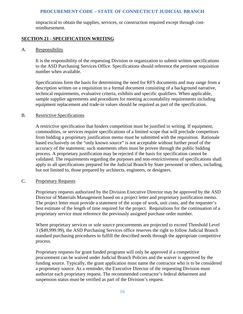impractical to obtain the supplies, services, or construction required except through costreimbursement.

# <span id="page-18-0"></span>**SECTION 21 - SPECIFICATION WRITING**

#### A. Responsibility

It is the responsibility of the requesting Division or organization to submit written specifications to the ASD Purchasing Services Office. Specifications should reference the pertinent requisition number when available.

Specifications form the basis for determining the need for RFS documents and may range from a description written on a requisition to a formal document consisting of a background narrative, technical requirements, evaluative criteria, exhibits and specific qualifiers. When applicable, sample supplier agreements and procedures for meeting accountability requirements including equipment replacement and trade-in values should be required as part of the specification.

#### B. Restrictive Specifications

A restrictive specification that hinders competition must be justified in writing. If equipment, commodities, or services require specifications of a limited scope that will preclude competitors from bidding a proprietary justification memo must be submitted with the requisition. Rationale based exclusively on the "only known source" is not acceptable without further proof of the accuracy of the statement; such statements often must be proven through the public bidding process. A proprietary justification may be rejected if the basis for specification cannot be validated. The requirements regarding the purposes and non-restrictiveness of specifications shall apply to all specifications prepared for the Judicial Branch by State personnel or others, including, but not limited to, those prepared by architects, engineers, or designers.

#### C. Proprietary Requests

Proprietary requests authorized by the Division Executive Director may be approved by the ASD Director of Materials Management based on a project letter and proprietary justification memo. The project letter must provide a statement of the scope of work, unit costs, and the requester's best estimate of the length of time required for the project. Requisitions for the continuation of a proprietary service must reference the previously assigned purchase order number.

Where proprietary services or sole source procurements are projected to exceed Threshold Level 3 (\$49,999.99), the ASD Purchasing Services office reserves the right to follow Judicial Branch standard purchasing procedures to fulfill the described needs through the appropriate competitive process.

Proprietary requests for grant funded programs will only be approved if a competitive procurement can be waived under Judicial Branch Policies and the waiver is approved by the funding source. Typically, the grant application must name the contractor who is to be considered a proprietary source. As a reminder, the Executive Director of the requesting Division must authorize each proprietary request. The recommended contractor's federal debarment and suspension status must be verified as part of the Division's request.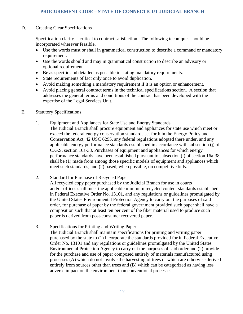## D. Creating Clear Specifications

Specification clarity is critical to contract satisfaction. The following techniques should be incorporated wherever feasible.

- Use the words must or shall in grammatical construction to describe a command or mandatory requirement.
- Use the words should and may in grammatical construction to describe an advisory or optional requirement.
- Be as specific and detailed as possible in stating mandatory requirements.
- State requirements of fact only once to avoid duplication.
- Avoid making something a mandatory requirement if it is an option or enhancement.
- Avoid placing general contract terms in the technical specifications section. A section that addresses the general terms and conditions of the contract has been developed with the expertise of the Legal Services Unit.

#### E. Statutory Specifications

- 1. Equipment and Appliances for State Use and Energy Standards
	- The Judicial Branch shall procure equipment and appliances for state use which meet or exceed the federal energy conservation standards set forth in the Energy Policy and Conservation Act, 42 USC 6295, any federal regulations adopted there under, and any applicable energy performance standards established in accordance with subsection (j) of C.G.S. section 16a-38. Purchases of equipment and appliances for which energy performance standards have been established pursuant to subsection (j) of section 16a-38 shall be (1) made from among those specific models of equipment and appliances which meet such standards, and (2) based, when possible, on competitive bids.

#### 2. Standard for Purchase of Recycled Paper

All recycled copy paper purchased by the Judicial Branch for use in courts and/or offices shall meet the applicable minimum recycled content standards established in Federal Executive Order No. 13101, and any regulations or guidelines promulgated by the United States Environmental Protection Agency to carry out the purposes of said order, for purchase of paper by the federal government provided such paper shall have a composition such that at least ten per cent of the fiber material used to produce such paper is derived from post-consumer recovered paper.

3. Specifications for Printing and Writing Paper

The Judicial Branch shall maintain specifications for printing and writing paper purchased by the state to (1) incorporate the standards provided for in Federal Executive Order No. 13101 and any regulations or guidelines promulgated by the United States Environmental Protection Agency to carry out the purposes of said order and (2) provide for the purchase and use of paper composed entirely of materials manufactured using processes (A) which do not involve the harvesting of trees or which are otherwise derived entirely from sources other than trees and (B) which can be categorized as having less adverse impact on the environment than conventional processes.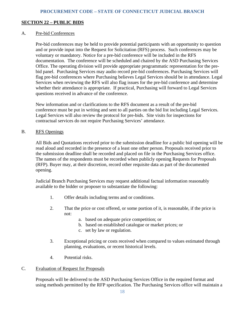#### <span id="page-20-0"></span>**SECTION 22 – PUBLIC BIDS**

#### A. Pre-bid Conferences

Pre-bid conferences may be held to provide potential participants with an opportunity to question and or provide input into the Request for Solicitation (RFS) process. Such conferences may be voluntary or mandatory. Notice for a pre-bid conference will be included in the RFS documentation. The conference will be scheduled and chaired by the ASD Purchasing Services Office. The operating division will provide appropriate programmatic representation for the prebid panel. Purchasing Services may audio record pre-bid conferences. Purchasing Services will flag pre-bid conferences where Purchasing believes Legal Services should be in attendance. Legal Services when reviewing the RFS will also flag issues for the pre-bid conference and determine whether their attendance is appropriate. If practical, Purchasing will forward to Legal Services questions received in advance of the conference.

New information and or clarifications to the RFS document as a result of the pre-bid conference must be put in writing and sent to all parties on the bid list including Legal Services. Legal Services will also review the protocol for pre-bids. Site visits for inspections for contractual services do not require Purchasing Services' attendance.

#### B. RFS Openings

All Bids and Quotations received prior to the submission deadline for a public bid opening will be read aloud and recorded in the presence of a least one other person. Proposals received prior to the submission deadline shall be recorded and placed on file in the Purchasing Services office. The names of the respondents must be recorded when publicly opening Requests for Proposals (RFP). Buyer may, at their discretion, record other requisite data as part of the documented opening.

Judicial Branch Purchasing Services may request additional factual information reasonably available to the bidder or proposer to substantiate the following:

- 1. Offer details including terms and or conditions.
- 2. That the price or cost offered, or some portion of it, is reasonable, if the price is not:
	- a. based on adequate price competition; or
	- b. based on established catalogue or market prices; or
	- c. set by law or regulation.
- 3. Exceptional pricing or costs received when compared to values estimated through planning, evaluations, or recent historical levels.
- 4. Potential risks.

#### C. Evaluation of Request for Proposals

Proposals will be delivered to the ASD Purchasing Services Office in the required format and using methods permitted by the RFP specification. The Purchasing Services office will maintain a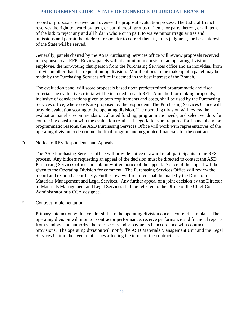record of proposals received and oversee the proposal evaluation process. The Judicial Branch reserves the right to award by item, or part thereof, groups of items, or parts thereof, or all items of the bid; to reject any and all bids in whole or in part; to waive minor irregularities and omissions and permit the bidder or responder to correct them if, in its judgment, the best interest of the State will be served.

Generally, panels chaired by the ASD Purchasing Services office will review proposals received in response to an RFP. Review panels will at a minimum consist of an operating division employee, the non-voting chairperson from the Purchasing Services office and an individual from a division other than the requisitioning division. Modifications to the makeup of a panel may be made by the Purchasing Services office if deemed in the best interest of the Branch.

The evaluation panel will score proposals based upon predetermined programmatic and fiscal criteria. The evaluative criteria will be included in each RFP. A method for ranking proposals, inclusive of considerations given to both requirements and costs, shall be used by the Purchasing Services office, where costs are proposed by the respondent. The Purchasing Services Office will provide evaluation scoring to the operating division. The operating division will review the evaluation panel's recommendation, allotted funding, programmatic needs, and select vendors for contracting consistent with the evaluation results. If negotiations are required for financial and or programmatic reasons, the ASD Purchasing Services Office will work with representatives of the operating division to determine the final program and negotiated financials for the contract.

#### D. Notice to RFS Respondents and Appeals

The ASD Purchasing Services office will provide notice of award to all participants in the RFS process. Any bidders requesting an appeal of the decision must be directed to contact the ASD Purchasing Services office and submit written notice of the appeal. Notice of the appeal will be given to the Operating Division for comment. The Purchasing Services Office will review the record and respond accordingly. Further review if required shall be made by the Director of Materials Management and Legal Services. Any further appeal of a joint decision by the Director of Materials Management and Legal Services shall be referred to the Office of the Chief Court Administrator or a CCA designee.

#### E. Contract Implementation

Primary interaction with a vendor shifts to the operating division once a contract is in place. The operating division will monitor contractor performance, receive performance and financial reports from vendors, and authorize the release of vendor payments in accordance with contract provisions. The operating division will notify the ASD Materials Management Unit and the Legal Services Unit in the event that issues affecting the terms of the contract arise.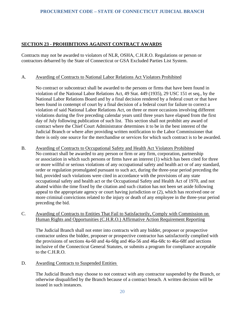# <span id="page-22-0"></span>**SECTION 23 - PROHIBITIONS AGAINST CONTRACT AWARDS**

Contracts may not be awarded to violators of NLR, OSHA, C.H.R.O. Regulations or person or contractors debarred by the State of Connecticut or GSA Excluded Parties List System.

# A. Awarding of Contracts to National Labor Relations Act Violators Prohibited

No contract or subcontract shall be awarded to the persons or firms that have been found in violation of the National Labor Relations Act, 49 Stat. 449 (1935), 29 USC 151 et seq., by the National Labor Relations Board and by a final decision rendered by a federal court or that have been found in contempt of court by a final decision of a federal court for failure to correct a violation of said National Labor Relations Act, on three or more occasions involving different violations during the five preceding calendar years until three years have elapsed from the first day of July following publication of such list. This section shall not prohibit any award of contract where the Chief Court Administrator determines it to be in the best interest of the Judicial Branch or where after providing written notification to the Labor Commissioner that there is only one source for the merchandise or services for which such contract is to be awarded.

## B. Awarding of Contracts to Occupational Safety and Health Act Violators Prohibited No contract shall be awarded to any person or firm or any firm, corporation, partnership or association in which such persons or firms have an interest (1) which has been cited for three or more willful or serious violations of any occupational safety and health act or of any standard, order or regulation promulgated pursuant to such act, during the three-year period preceding the bid, provided such violations were cited in accordance with the provisions of any state occupational safety and health act or the Occupational Safety and Health Act of 1970, and not abated within the time fixed by the citation and such citation has not been set aside following appeal to the appropriate agency or court having jurisdiction or (2), which has received one or more criminal convictions related to the injury or death of any employee in the three-year period preceding the bid.

# C. Awarding of Contracts to Entities That Fail to Satisfactorily, Comply with Commission on Human Rights and Opportunities (C.H.R.O.) Affirmative Action Requirement Reporting

The Judicial Branch shall not enter into contracts with any bidder, proposer or prospective contractor unless the bidder, proposer or prospective contractor has satisfactorily complied with the provisions of sections 4a-60 and 4a-60g and 46a-56 and 46a-68c to 46a-68f and sections inclusive of the Connecticut General Statutes, or submits a program for compliance acceptable to the C.H.R.O.

# D. Awarding Contracts to Suspended Entities

The Judicial Branch may choose to not contract with any contractor suspended by the Branch, or otherwise disqualified by the Branch because of a contract breach. A written decision will be issued in such instances.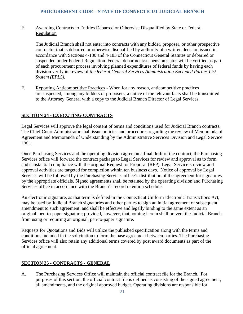## E. Awarding Contracts to Entities Debarred or Otherwise Disqualified by State or Federal Regulation

The Judicial Branch shall not enter into contracts with any bidder, proposer, or other prospective contractor that is debarred or otherwise disqualified by authority of a written decision issued in accordance with Sections 4-180 and 4-183 of the Connecticut General Statutes or debarred or suspended under Federal Regulation. Federal debarment/suspension status will be verified as part of each procurement process involving planned expenditures of federal funds by having each division verify its review of *the federal General Services Administration Excluded Parties List System (EPLS).*

F. Reporting Anticompetitive Practices - When for any reason, anticompetitive practices are suspected, among any bidders or proposers, a notice of the relevant facts shall be transmitted to the Attorney General with a copy to the Judicial Branch Director of Legal Services.

# <span id="page-23-0"></span>**SECTION 24 - EXECUTING CONTRACTS**

Legal Services will approve the legal content of terms and conditions used for Judicial Branch contracts. The Chief Court Administrator shall issue policies and procedures regarding the review of Memoranda of Agreement and Memoranda of Understanding by the Administrative Services Division and Legal Service Unit.

Once Purchasing Services and the operating division agree on a final draft of the contract, the Purchasing Services office will forward the contract package to Legal Services for review and approval as to form and substantial compliance with the original Request for Proposal (RFP). Legal Service's review and approval activities are targeted for completion within ten business days. Notice of approval by Legal Services will be followed by the Purchasing Services office's distribution of the agreement for signatures by the appropriate officials. Signed agreements shall be retained by the operating division and Purchasing Services office in accordance with the Branch's record retention schedule.

An electronic signature, as that term is defined in the Connecticut Uniform Electronic Transactions Act, may be used by Judicial Branch signatories and other parties to sign an initial agreement or subsequent amendment to such agreement, and shall be effective and legally binding to the same extent as an original, pen-to-paper signature; provided, however, that nothing herein shall prevent the Judicial Branch from using or requiring an original, pen-to-paper signature.

Requests for Quotations and Bids will utilize the published specification along with the terms and conditions included in the solicitation to form the base agreement between parties. The Purchasing Services office will also retain any additional terms covered by post award documents as part of the official agreement.

# <span id="page-23-1"></span>**SECTION 25 - CONTRACTS - GENERAL**

A. The Purchasing Services Office will maintain the official contract file for the Branch. For purposes of this section, the official contract file is defined as consisting of the signed agreement, all amendments, and the original approved budget. Operating divisions are responsible for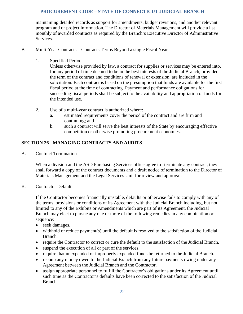maintaining detailed records as support for amendments, budget revisions, and another relevant program and or project information. The Director of Materials Management will provide a list monthly of awarded contracts as required by the Branch's Executive Director of Administrative Services.

## B. Multi-Year Contracts – Contracts Terms Beyond a single Fiscal Year

1. Specified Period

Unless otherwise provided by law, a contract for supplies or services may be entered into, for any period of time deemed to be in the best interests of the Judicial Branch, provided the term of the contract and conditions of renewal or extension, are included in the solicitation. Each contract is based on the presumption that funds are available for the first fiscal period at the time of contracting. Payment and performance obligations for succeeding fiscal periods shall be subject to the availability and appropriation of funds for the intended use.

- 2. Use of a multi-year contract is authorized where:
	- a. estimated requirements cover the period of the contract and are firm and continuing; and
	- b. such a contract will serve the best interests of the State by encouraging effective competition or otherwise promoting procurement economies.

# <span id="page-24-0"></span>**SECTION 26 - MANAGING CONTRACTS AND AUDITS**

A. Contract Termination

When a division and the ASD Purchasing Services office agree to terminate any contract, they shall forward a copy of the contract documents and a draft notice of termination to the Director of Materials Management and the Legal Services Unit for review and approval.

B. Contractor Default

If the Contractor becomes financially unstable, defaults or otherwise fails to comply with any of the terms, provisions or conditions of its Agreement with the Judicial Branch including, but not limited to any of the Exhibits or Amendments which are part of its Agreement, the Judicial Branch may elect to pursue any one or more of the following remedies in any combination or sequence:

- seek damages.
- withhold or reduce payment(s) until the default is resolved to the satisfaction of the Judicial Branch.
- require the Contractor to correct or cure the default to the satisfaction of the Judicial Branch.
- suspend the execution of all or part of the services.
- require that unexpended or improperly expended funds be returned to the Judicial Branch.
- recoup any money owed to the Judicial Branch from any future payments owing under any Agreement between the Judicial Branch and the Contractor.
- assign appropriate personnel to fulfill the Contractor's obligations under its Agreement until such time as the Contractor's defaults have been corrected to the satisfaction of the Judicial Branch.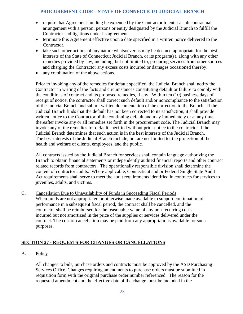- require that Agreement funding be expended by the Contractor to enter a sub contractual arrangement with a person, persons or entity designated by the Judicial Branch to fulfill the Contractor's obligations under its agreement.
- terminate this Agreement effective upon a date specified in a written notice delivered to the Contractor.
- take such other actions of any nature whatsoever as may be deemed appropriate for the best interests of the State of Connecticut Judicial Branch, or its program(s), along with any other remedies provided by law, including, but not limited to, procuring services from other sources and charging the Contractor any excess costs incurred or damages occasioned thereby.
- any combination of the above actions.

Prior to invoking any of the remedies for default specified, the Judicial Branch shall notify the Contractor in writing of the facts and circumstances constituting default or failure to comply with the conditions of contract and its proposed remedies, if any. Within ten (10) business days of receipt of notice, the contractor shall correct such default and/or noncompliance to the satisfaction of the Judicial Branch and submit written documentation of the correction to the Branch. If the Judicial Branch finds that the default has not been corrected to its satisfaction, it shall provide written notice to the Contractor of the continuing default and may immediately or at any time thereafter invoke any or all remedies set forth in the procurement code. The Judicial Branch may invoke any of the remedies for default specified without prior notice to the contractor if the Judicial Branch determines that such action is in the best interests of the Judicial Branch. The best interests of the Judicial Branch include, but are not limited to, the protection of the health and welfare of clients, employees, and the public.

All contracts issued by the Judicial Branch for services shall contain language authorizing the Branch to obtain financial statements or independently audited financial reports and other contract related records from contractors. The operationally responsible division shall determine the content of contractor audits. Where applicable, Connecticut and or Federal Single State Audit Act requirements shall serve to meet the audit requirements identified in contracts for services to juveniles, adults, and victims.

C. Cancellation Due to Unavailability of Funds in Succeeding Fiscal Periods When funds are not appropriated or otherwise made available to support continuation of performance in a subsequent fiscal period, the contract shall be cancelled, and the contractor shall be reimbursed for the reasonable value of any non-recurring costs incurred but not amortized in the price of the supplies or services delivered under the contract. The cost of cancellation may be paid from any appropriations available for such purposes.

# <span id="page-25-0"></span>**SECTION 27 - REQUESTS FOR CHANGES OR CANCELLATIONS**

A. Policy

All changes to bids, purchase orders and contracts must be approved by the ASD Purchasing Services Office. Changes requiring amendments to purchase orders must be submitted in requisition form with the original purchase order number referenced. The reason for the requested amendment and the effective date of the change must be included in the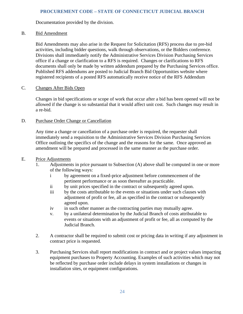Documentation provided by the division.

## B. Bid Amendment

Bid Amendments may also arise in the Request for Solicitation (RFS) process due to pre-bid activities, including bidder questions, walk through observations, or the Bidders conference. Divisions shall immediately notify the Administrative Services Division Purchasing Services office if a change or clarification to a RFS is required. Changes or clarifications to RFS documents shall only be made by written addendum prepared by the Purchasing Services office. Published RFS addendums are posted to Judicial Branch Bid Opportunities website where registered recipients of a posted RFS automatically receive notice of the RFS Addendum

## C. Changes After Bids Open

Changes in bid specifications or scope of work that occur after a bid has been opened will not be allowed if the change is so substantial that it would affect unit cost. Such changes may result in a re-bid.

## D. Purchase Order Change or Cancellation

Any time a change or cancellation of a purchase order is required, the requester shall immediately send a requisition to the Administrative Services Division Purchasing Services Office outlining the specifics of the change and the reasons for the same. Once approved an amendment will be prepared and processed in the same manner as the purchase order.

#### E. Price Adjustments

- 1. Adjustments in price pursuant to Subsection (A) above shall be computed in one or more of the following ways:
	- i by agreement on a fixed-price adjustment before commencement of the pertinent performance or as soon thereafter as practicable.
	- ii by unit prices specified in the contract or subsequently agreed upon.<br>iii by the costs attributable to the events or situations under such clause
	- by the costs attributable to the events or situations under such clauses with adjustment of profit or fee, all as specified in the contract or subsequently agreed upon.
	- iv in such other manner as the contracting parties may mutually agree.
	- v. by a unilateral determination by the Judicial Branch of costs attributable to events or situations with an adjustment of profit or fee, all as computed by the Judicial Branch.
- 2. A contractor shall be required to submit cost or pricing data in writing if any adjustment in contract price is requested.
- 3. Purchasing Services shall report modifications in contract and or project values impacting equipment purchases to Property Accounting. Examples of such activities which may not be reflected by purchase order include delays in system installations or changes in installation sites, or equipment configurations.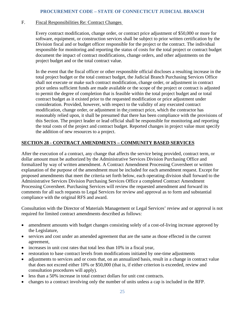#### F. Fiscal Responsibilities Re: Contract Changes

Every contract modification, change order, or contract price adjustment of \$50,000 or more for software, equipment, or construction services shall be subject to prior written certification by the Division fiscal and or budget officer responsible for the project or the contract. The individual responsible for monitoring and reporting the status of costs for the total project or contract budget document the impact of contract modifications, change orders, and other adjustments on the project budget and or the total contract value.

In the event that the fiscal officer or other responsible official discloses a resulting increase in the total project budget or the total contract budget, the Judicial Branch Purchasing Services Office shall not execute or make such contract modification, change order, or adjustment in contract price unless sufficient funds are made available or the scope of the project or contract is adjusted to permit the degree of completion that is feasible within the total project budget and or total contract budget as it existed prior to the requested modification or price adjustment under consideration. Provided, however, with respect to the validity of any executed contract modification, change order, or adjustment in the contract price, which the contractor has reasonably relied upon, it shall be presumed that there has been compliance with the provisions of this Section. The project leader or lead official shall be responsible for monitoring and reporting the total costs of the project and contract budget. Reported changes in project value must specify the addition of new resources to a project.

## <span id="page-27-0"></span>**SECTION 28 - CONTRACT AMENDMENTS – COMMUNITY BASED SERVICES**

After the execution of a contract, any change that affects the service being provided, contract term, or dollar amount must be authorized by the Administrative Services Division Purchasing Office and formalized by way of written amendment. A Contract Amendment Processing Coversheet or written explanation of the purpose of the amendment must be included for each amendment request. Except for proposed amendments that meet the criteria set forth below, each operating division shall forward to the Administrative Services Division Purchasing Services Office a completed Contract Amendment Processing Coversheet. Purchasing Services will review the requested amendment and forward its comments for all such requests to Legal Services for review and approval as to form and substantial compliance with the original RFS and award.

Consultation with the Director of Materials Management or Legal Services' review and or approval is not required for limited contract amendments described as follows:

- amendment amounts with budget changes consisting solely of a cost-of-living increase approved by the Legislature,
- services and cost under an amended agreement that are the same as those effected in the current agreement,
- increases in unit cost rates that total less than 10% in a fiscal year,
- restoration to base contract levels from modifications initiated by one-time adjustments
- adjustments to services and or costs that, on an annualized basis, result in a change in contract value that does not exceed either 10% or \$50,000 (that is, if either criterion is exceeded, review and consultation procedures will apply).
- less than a 50% increase in total contract dollars for unit cost contracts.
- changes to a contract involving only the number of units unless a cap is included in the RFP.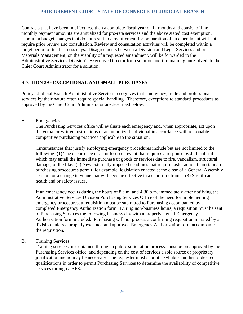Contracts that have been in effect less than a complete fiscal year or 12 months and consist of like monthly payment amounts are annualized for pro-rata services and the above stated cost exemption. Line-item budget changes that do not result in a requirement for preparation of an amendment will not require prior review and consultation. Review and consultation activities will be completed within a target period of ten business days. Disagreements between a Division and Legal Services and or Materials Management, on the viability of a requested amendment, will be forwarded to the Administrative Services Division's Executive Director for resolution and if remaining unresolved, to the Chief Court Administrator for a solution.

# <span id="page-28-0"></span>**SECTION 29 - EXCEPTIONAL AND SMALL PURCHASES**

Policy - Judicial Branch Administrative Services recognizes that emergency, trade and professional services by their nature often require special handling. Therefore, exceptions to standard procedures as approved by the Chief Court Administrator are described below.

A. Emergencies

The Purchasing Services office will evaluate each emergency and, when appropriate, act upon the verbal or written instructions of an authorized individual in accordance with reasonable competitive purchasing practices applicable to the situation.

Circumstances that justify employing emergency procedures include but are not limited to the following: (1) The occurrence of an unforeseen event that requires a response by Judicial staff which may entail the immediate purchase of goods or services due to fire, vandalism, structural damage, or the like. (2) New externally imposed deadlines that require faster action than standard purchasing procedures permit, for example, legislation enacted at the close of a General Assembly session, or a change in venue that will become effective in a short timeframe. (3) Significant health and or safety issues.

If an emergency occurs during the hours of 8 a.m. and 4:30 p.m. immediately after notifying the Administrative Services Division Purchasing Services Office of the need for implementing emergency procedures, a requisition must be submitted to Purchasing accompanied by a completed Emergency Authorization form. During non-business hours, a requisition must be sent to Purchasing Services the following business day with a properly signed Emergency Authorization form included. Purchasing will not process a confirming requisition initiated by a division unless a properly executed and approved Emergency Authorization form accompanies the requisition.

B. Training Services

Training services, not obtained through a public solicitation process, must be preapproved by the Purchasing Services office, and depending on the cost of services a sole source or proprietary justification memo may be necessary. The requester must submit a syllabus and list of desired qualifications in order to permit Purchasing Services to determine the availability of competitive services through a RFS.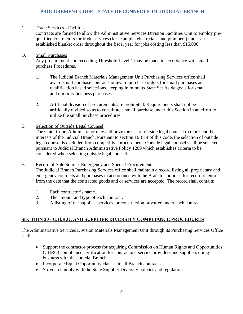## C. Trade Services - Facilities

Contracts are formed to allow the Administrative Services Division Facilities Unit to employ prequalified contractors for trade services (for example, electricians and plumbers) under an established blanket order throughout the fiscal year for jobs costing less than \$15,000.

#### D. Small Purchases

Any procurement not exceeding Threshold Level 1 may be made in accordance with small purchase Procedures.

- 1. The Judicial Branch Materials Management Unit Purchasing Services office shall award small purchase contracts or award purchase orders for small purchases as qualification based selections, keeping in mind its State Set Aside goals for small and minority business purchases.
- 2. Artificial division of procurements are prohibited. Requirements shall not be artificially divided so as to constitute a small purchase under this Section in an effort to utilize the small purchase procedures.

#### E. Selection of Outside Legal Counsel

The Chief Court Administrator may authorize the use of outside legal counsel to represent the interests of the Judicial Branch. Pursuant to section 16B.14 of this code, the selection of outside legal counsel is excluded from competitive procurement. Outside legal counsel shall be selected pursuant to Judicial Branch Administrative Policy 1209 which establishes criteria to be considered when selecting outside legal counsel.

#### F. Record of Sole Source, Emergency and Special Procurements

The Judicial Branch Purchasing Services office shall maintain a record listing all proprietary and emergency contracts and purchases in accordance with the Branch's policies for record retention from the date that the contracted goods and or services are accepted. The record shall contain:

- 1. Each contractor's name.
- 2. The amount and type of each contract.
- 3. A listing of the supplies, services, or construction procured under each contract.

# <span id="page-29-0"></span>**SECTION 30 - C.H.R.O. AND SUPPLIER DIVERSITY COMPLIANCE PROCEDURES**

The Administrative Services Division Materials Management Unit through its Purchasing Services Office shall:

- Support the contractor process for acquiring Commission on Human Rights and Opportunities (CHRO) compliance certification for contractors, service providers and suppliers doing business with the Judicial Branch.
- Incorporate Equal Opportunity clauses in all Branch contracts.
- Strive to comply with the State Supplier Diversity policies and regulations.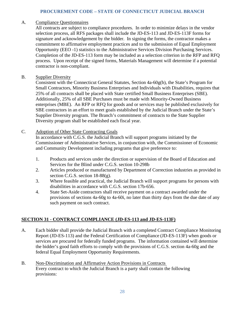#### A. Compliance Questionnaires

All contracts are subject to compliance procedures. In order to minimize delays in the vendor selection process, all RFS packages shall include the JD-ES-113 and JD-ES-113F forms for signature and acknowledgement by the bidder. In signing the forms, the contractor makes a commitment to affirmative employment practices and to the submission of Equal Employment Opportunity (EEO -1) statistics to the Administrative Services Division Purchasing Services. Completion of the JD-ES-113 form may be included as a selection criterion in the RFP and RFQ process. Upon receipt of the signed forms, Materials Management will determine if a potential contractor is non-compliant.

## B. Supplier Diversity

Consistent with the Connecticut General Statutes, Section 4a-60g(b), the State's Program for Small Contractors, Minority Business Enterprises and Individuals with Disabilities, requires that 25% of all contracts shall be placed with State certified Small Business Enterprises (SBE). Additionally, 25% of all SBE Purchases must be made with Minority-Owned Business enterprises (MBE). An RFP or RFQ for goods and or services may be published exclusively for SBE contractors in an effort to meet goals established by the Judicial Branch under the State's Supplier Diversity program. The Branch's commitment of contracts to the State Supplier Diversity program shall be established each fiscal year.

#### C. Adoption of Other State Contracting Goals

In accordance with C.G.S. the Judicial Branch will support programs initiated by the Commissioner of Administrative Services, in conjunction with, the Commissioner of Economic and Community Development including programs that give preference to:

- 1. Products and services under the direction or supervision of the Board of Education and Services for the Blind under C.G.S. section 10-298b
- 2. Articles produced or manufactured by Department of Correction industries as provided in section C.G.S. section 18-88(g).
- 3. Where feasible and practical, the Judicial Branch will support programs for persons with disabilities in accordance with C.G.S. section 17b-656.
- 4. State Set-Aside contractors shall receive payment on a contract awarded under the provisions of sections 4a-60g to 4a-60i, no later than thirty days from the due date of any such payment on such contract.

#### <span id="page-30-0"></span>**SECTION 31 - CONTRACT COMPLIANCE (JD-ES-113 and JD-ES-113F)**

- A. Each bidder shall provide the Judicial Branch with a completed Contract Compliance Monitoring Report (JD-ES-113) and the Federal Certification of Compliance (JD-ES-113F) when goods or services are procured for federally funded programs. The information contained will determine the bidder's good faith efforts to comply with the provisions of C.G.S. section 4a-60g and the federal Equal Employment Opportunity Requirements.
- B. Non-Discrimination and Affirmative Action Provisions in Contracts Every contract to which the Judicial Branch is a party shall contain the following provisions: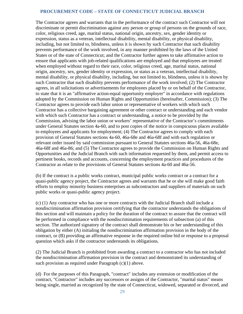The Contractor agrees and warrants that in the performance of the contract such Contractor will not discriminate or permit discrimination against any person or group of persons on the grounds of race, color, religious creed, age, marital status, national origin, ancestry, sex, gender identity or expression, status as a veteran, intellectual disability, mental disability, or physical disability, including, but not limited to, blindness, unless it is shown by such Contractor that such disability prevents performance of the work involved, in any manner prohibited by the laws of the United States or of the state of Connecticut; and the Contractor further agrees to take affirmative action to ensure that applicants with job-related qualifications are employed and that employees are treated when employed without regard to their race, color, religious creed, age, marital status, national origin, ancestry, sex, gender identity or expression, or status as a veteran, intellectual disability, mental disability, or physical disability, including, but not limited to, blindness, unless it is shown by such Contractor that such disability prevents performance of the work involved; (2) The Contractor agrees, in all solicitations or advertisements for employees placed by or on behalf of the Contractor, to state that it is an "affirmative action-equal opportunity employer" in accordance with regulations adopted by the Commission on Human Rights and Opportunities (hereinafter, Commission); (3) The Contractor agrees to provide each labor union or representative of workers with which such Contractor has a collective bargaining agreement or other contract or understanding and each vendor with which such Contractor has a contract or understanding, a notice to be provided by the Commission, advising the labor union or workers' representative of the Contractor's commitments under General Statutes section 4a-60, and to post copies of the notice in conspicuous places available to employees and applicants for employment; (4) The Contractor agrees to comply with each provision of General Statutes sections 4a-60, 46a-68e and 46a-68f and with each regulation or relevant order issued by said commission pursuant to General Statutes sections 46a-56, 46a-68e, 46a-68f and 46a-86; and (5) The Contractor agrees to provide the Commission on Human Rights and Opportunities and the Judicial Branch with such information requested by them, and permit access to pertinent books, records and accounts, concerning the employment practices and procedures of the Contractor as relate to the provisions of General Statutes sections 4a-60 and 46a-56.

(b) If the contract is a public works contract, municipal public works contract or a contract for a quasi-public agency project, the Contractor agrees and warrants that he or she will make good faith efforts to employ minority business enterprises as subcontractors and suppliers of materials on such public works or quasi-public agency project.

(c) (1) Any contractor who has one or more contracts with the Judicial Branch shall include a nondiscrimination affirmation provision certifying that the contractor understands the obligations of this section and will maintain a policy for the duration of the contract to assure that the contract will be performed in compliance with the nondiscrimination requirements of subsection (a) of this section. The authorized signatory of the contract shall demonstrate his or her understanding of this obligation by either (A) initialing the nondiscrimination affirmation provision in the body of the contract, or (B) providing an affirmative response in the required online bid or response to a proposal question which asks if the contractor understands its obligations.

(2) The Judicial Branch is prohibited from awarding a contract to a contractor who has not included the nondiscrimination affirmation provision in the contract and demonstrated its understanding of such provision as required under Paragraph (c)(1) above.

(d) For the purposes of this Paragraph, "contract" includes any extension or modification of the contract, "Contractor" includes any successors or assigns of the Contractor, "marital status" means being single, married as recognized by the state of Connecticut, widowed, separated or divorced, and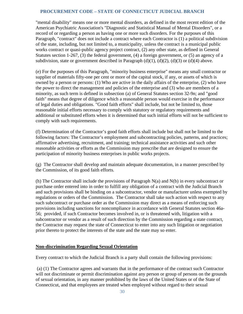"mental disability" means one or more mental disorders, as defined in the most recent edition of the American Psychiatric Association's "Diagnostic and Statistical Manual of Mental Disorders", or a record of or regarding a person as having one or more such disorders. For the purposes of this Paragraph, "contract" does not include a contract where each Contractor is (1) a political subdivision of the state, including, but not limited to, a municipality, unless the contract is a municipal public works contract or quasi-public agency project contract, (2) any other state, as defined in General Statutes section 1-267, (3) the federal government, (4) a foreign government, or (5) an agency of a subdivision, state or government described in Paragraph  $(d)(1)$ ,  $(d)(2)$ ,  $(d)(3)$  or  $(d)(4)$  above.

(e) For the purposes of this Paragraph, "minority business enterprise" means any small contractor or supplier of materials fifty-one per cent or more of the capital stock, if any, or assets of which is owned by a person or persons: (1) Who are active in the daily affairs of the enterprise, (2) who have the power to direct the management and policies of the enterprise and (3) who are members of a minority, as such term is defined in subsection (a) of General Statutes section 32-9n; and "good faith" means that degree of diligence which a reasonable person would exercise in the performance of legal duties and obligations. "Good faith efforts" shall include, but not be limited to, those reasonable initial efforts necessary to comply with statutory or regulatory requirements and additional or substituted efforts when it is determined that such initial efforts will not be sufficient to comply with such requirements.

(f) Determination of the Contractor's good faith efforts shall include but shall not be limited to the following factors: The Contractor's employment and subcontracting policies, patterns, and practices; affirmative advertising, recruitment, and training; technical assistance activities and such other reasonable activities or efforts as the Commission may prescribe that are designed to ensure the participation of minority business enterprises in public works projects.

(g) The Contractor shall develop and maintain adequate documentation, in a manner prescribed by the Commission, of its good faith efforts.

(h) The Contractor shall include the provisions of Paragraph  $N(a)$  and  $N(b)$  in every subcontract or purchase order entered into in order to fulfill any obligation of a contract with the Judicial Branch and such provisions shall be binding on a subcontractor, vendor or manufacturer unless exempted by regulations or orders of the Commission. The Contractor shall take such action with respect to any such subcontract or purchase order as the Commission may direct as a means of enforcing such provisions including sanctions for noncompliance in accordance with General Statutes section 46a-56; provided, if such Contractor becomes involved in, or is threatened with, litigation with a subcontractor or vendor as a result of such direction by the Commission regarding a state contract, the Contractor may request the state of Connecticut to enter into any such litigation or negotiation prior thereto to protect the interests of the state and the state may so enter.

# **Non-discrimination Regarding Sexual Orientation**

Every contract to which the Judicial Branch is a party shall contain the following provisions:

(a) (1) The Contractor agrees and warrants that in the performance of the contract such Contractor will not discriminate or permit discrimination against any person or group of persons on the grounds of sexual orientation, in any manner prohibited by the laws of the United States or of the State of Connecticut, and that employees are treated when employed without regard to their sexual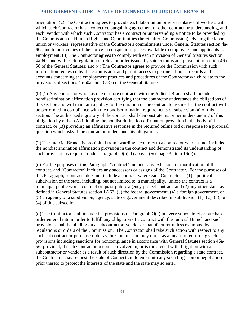orientation; (2) The Contractor agrees to provide each labor union or representative of workers with which such Contractor has a collective bargaining agreement or other contract or understanding, and each vendor with which such Contractor has a contract or understanding a notice to be provided by the Commission on Human Rights and Opportunities (hereinafter, Commission) advising the labor union or workers' representative of the Contractor's commitments under General Statutes section 4a-60a and to post copies of the notice in conspicuous places available to employees and applicants for employment; (3) The Contractor agrees to comply with each provision of General Statutes section 4a-60a and with each regulation or relevant order issued by said commission pursuant to section 46a-56 of the General Statutes; and (4) The Contractor agrees to provide the Commission with such information requested by the commission, and permit access to pertinent books, records and accounts concerning the employment practices and procedures of the Contractor which relate to the provisions of sections 4a-60a and 46a-56 of the General Statutes.

(b) (1) Any contractor who has one or more contracts with the Judicial Branch shall include a nondiscrimination affirmation provision certifying that the contractor understands the obligations of this section and will maintain a policy for the duration of the contract to assure that the contract will be performed in compliance with the nondiscrimination requirements of subsection (a) of this section. The authorized signatory of the contract shall demonstrate his or her understanding of this obligation by either (A) initialing the nondiscrimination affirmation provision in the body of the contract, or (B) providing an affirmative response in the required online bid or response to a proposal question which asks if the contractor understands its obligations.

(2) The Judicial Branch is prohibited from awarding a contract to a contractor who has not included the nondiscrimination affirmation provision in the contract and demonstrated its understanding of such provision as required under Paragraph O(b)(1) above. (See page 3, item 16(e)).

(c) For the purposes of this Paragraph, "contract" includes any extension or modification of the contract, and "Contractor" includes any successors or assigns of the Contractor. For the purposes of this Paragraph, "contract" does not include a contract where each Contractor is (1) a political subdivision of the state, including, but not limited to, a municipality, unless the contract is a municipal public works contract or quasi-public agency project contract, and (2) any other state, as defined in General Statutes section 1-267, (3) the federal government, (4) a foreign government, or (5) an agency of a subdivision, agency, state or government described in subdivision (1), (2), (3), or (4) of this subsection.

(d) The Contractor shall include the provisions of Paragraph O(a) in every subcontract or purchase order entered into in order to fulfill any obligation of a contract with the Judicial Branch and such provisions shall be binding on a subcontractor, vendor or manufacturer unless exempted by regulations or orders of the Commission. The Contractor shall take such action with respect to any such subcontract or purchase order as the Commission may direct as a means of enforcing such provisions including sanctions for noncompliance in accordance with General Statutes section 46a-56; provided, if such Contractor becomes involved in, or is threatened with, litigation with a subcontractor or vendor as a result of such direction by the Commission regarding a state contract, the Contractor may request the state of Connecticut to enter into any such litigation or negotiation prior thereto to protect the interests of the state and the state may so enter.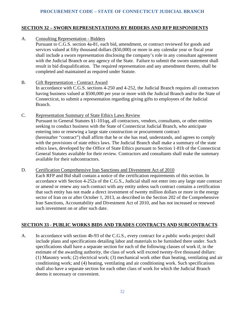# <span id="page-34-0"></span>**SECTION 32 – SWORN REPRESENTATIONS BY BIDDERS AND RFP RESPONDENTS**

A. Consulting Representation - Bidders

Pursuant to C.G.S. section 4a-81, each bid, amendment, or contract reviewed for goods and services valued at fifty thousand dollars (\$50,000) or more in any calendar year or fiscal year shall include a sworn representation disclosing the company's role in any consultant agreement with the Judicial Branch or any agency of the State. Failure to submit the sworn statement shall result in bid disqualification. The required representation and any amendment thereto, shall be completed and maintained as required under Statute.

- B. Gift Representation Contract Award In accordance with C.G.S. sections 4-250 and 4-252, the Judicial Branch requires all contractors having business valued at \$500,000 per year or more with the Judicial Branch and/or the State of Connecticut, to submit a representation regarding giving gifts to employees of the Judicial Branch.
- C. Representation Summary of State Ethics Laws Review Pursuant to General Statutes §1-101qq, all contractors, vendors, consultants, or other entities seeking to conduct business with the State of Connecticut Judicial Branch, who anticipate entering into or renewing a large state construction or procurement contract (hereinafter "contract") shall affirm that he or she has read, understands, and agrees to comply with the provisions of state ethics laws. The Judicial Branch shall make a summary of the state ethics laws, developed by the Office of State Ethics pursuant to Section 1-81b of the Connecticut General Statutes available for their review. Contractors and consultants shall make the summary available for their subcontractors.

D. Certification Comprehensive Iran Sanctions and Divestment Act of 2010 Each RFP and Bid shall contain a notice of the certification requirements of this section. In accordance with Section 4-252a of the C.G.S., Judicial shall not enter into any large state contract or amend or renew any such contract with any entity unless such contract contains a certification that such entity has not made a direct investment of twenty million dollars or more in the energy sector of Iran on or after October 1, 2013, as described in the Section 202 of the Comprehensive Iran Sanctions, Accountability and Divestment Act of 2010, and has not increased or renewed such investment on or after such date.

# <span id="page-34-1"></span>**SECTION 33 - PUBLIC WORKS BIDS AND TRADES CONTRACTS AND SUBCONTRACTS**

A. In accordance with section 4b-93 of the C.G.S., every contract for a public works project shall include plans and specifications detailing labor and materials to be furnished there under. Such specifications shall have a separate section for each of the following classes of work if, in the estimate of the awarding authority, the class of work will exceed twenty-five thousand dollars: (1) Masonry work; (2) electrical work; (3) mechanical work other than heating, ventilating and air conditioning work; and (4) heating, ventilating and air conditioning work. Such specifications shall also have a separate section for each other class of work for which the Judicial Branch deems it necessary or convenient.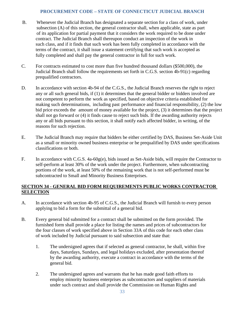- B. Whenever the Judicial Branch has designated a separate section for a class of work, under subsection (A) of this section, the general contractor shall, when applicable, state as part of its application for partial payment that it considers the work required to be done under contract. The Judicial Branch shall thereupon conduct an inspection of the work in such class, and if it finds that such work has been fully completed in accordance with the terms of the contract, it shall issue a statement certifying that such work is accepted as fully completed and shall pay the general contractor in full for such work.
- C. For contracts estimated to cost more than five hundred thousand dollars (\$500,000), the Judicial Branch shall follow the requirements set forth in C.G.S. section 4b-91(c) regarding prequalified contractors.
- D. In accordance with section 4b-94 of the C.G.S., the Judicial Branch reserves the right to reject any or all such general bids, if (1) it determines that the general bidder or bidders involved are not competent to perform the work as specified, based on objective criteria established for making such determinations, including past performance and financial responsibility, (2) the low bid price exceeds the amount of money available for the project, (3) it determines that the project shall not go forward or (4) it finds cause to reject such bids. If the awarding authority rejects any or all bids pursuant to this section, it shall notify each affected bidder, in writing, of the reasons for such rejection.
- E. The Judicial Branch may require that bidders be either certified by DAS, Business Set-Aside Unit as a small or minority owned business enterprise or be prequalified by DAS under specifications classifications or both.
- F. In accordance with C.G.S. 4a-60g(e), bids issued as Set-Aside bids, will require the Contractor to self-perform at least 30% of the work under the project. Furthermore, when subcontracting portions of the work, at least 50% of the remaining work that is not self-performed must be subcontracted to Small and Minority Business Enterprises.

## <span id="page-35-0"></span>**SECTION 34 - GENERAL BID FORM REQUIREMENTS PUBLIC WORKS CONTRACTOR SELECTION**

- A. In accordance with section 4b-95 of C.G.S., the Judicial Branch will furnish to every person applying to bid a form for the submittal of a general bid.
- B. Every general bid submitted for a contract shall be submitted on the form provided. The furnished form shall provide a place for listing the names and prices of subcontractors for the four classes of work specified above in Section 33A of this code for each other class of work included by Judicial pursuant to said subsection and state that:
	- 1. The undersigned agrees that if selected as general contractor, he shall, within five days, Saturdays, Sundays, and legal holidays excluded, after presentation thereof by the awarding authority, execute a contract in accordance with the terms of the general bid.
	- 2. The undersigned agrees and warrants that he has made good faith efforts to employ minority business enterprises as subcontractors and suppliers of materials under such contract and shall provide the Commission on Human Rights and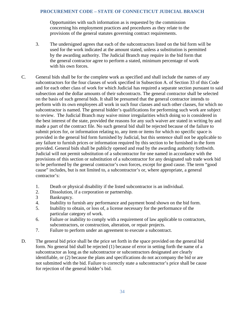Opportunities with such information as is requested by the commission concerning his employment practices and procedures as they relate to the provisions of the general statutes governing contract requirements.

- 3. The undersigned agrees that each of the subcontractors listed on the bid form will be used for the work indicated at the amount stated, unless a substitution is permitted by the awarding authority. The Judicial Branch may require in the bid form that the general contractor agree to perform a stated, minimum percentage of work with his own forces.
- C. General bids shall be for the complete work as specified and shall include the names of any subcontractors for the four classes of work specified in Subsection A. of Section 33 of this Code and for each other class of work for which Judicial has required a separate section pursuant to said subsection and the dollar amounts of their subcontracts. The general contractor shall be selected on the basis of such general bids. It shall be presumed that the general contractor intends to perform with its own employees all work in such four classes and such other classes, for which no subcontractor is named. The general bidder's qualifications for performing such work are subject to review. The Judicial Branch may waive minor irregularities which doing so is considered in the best interest of the state, provided the reasons for any such waiver are stated in writing by and made a part of the contract file. No such general bid shall be rejected because of the failure to submit prices for, or information relating to, any item or items for which no specific space is provided in the general bid form furnished by Judicial, but this sentence shall not be applicable to any failure to furnish prices or information required by this section to be furnished in the form provided. General bids shall be publicly opened and read by the awarding authority forthwith. Judicial will not permit substitution of a subcontractor for one named in accordance with the provisions of this section or substitution of a subcontractor for any designated sub trade work bid to be performed by the general contractor's own forces, except for good cause. The term "good cause" includes, but is not limited to, a subcontractor's or, where appropriate, a general contractor's:
	- 1. Death or physical disability if the listed subcontractor is an individual.
	- 2. Dissolution, if a corporation or partnership.
	- 3 Bankruptcy.
	- 4. Inability to furnish any performance and payment bond shown on the bid form.
	- 5. Inability to obtain, or loss of, a license necessary for the performance of the particular category of work.
	- 6. Failure or inability to comply with a requirement of law applicable to contractors, subcontractors, or construction, alteration, or repair projects.
	- 7. Failure to perform under an agreement to execute a subcontract.
- D. The general bid price shall be the price set forth in the space provided on the general bid form. No general bid shall be rejected (1) because of error in setting forth the name of a subcontractor as long as the subcontractor or subcontractors designated are clearly identifiable, or (2) because the plans and specifications do not accompany the bid or are not submitted with the bid. Failure to correctly state a subcontractor's price shall be cause for rejection of the general bidder's bid.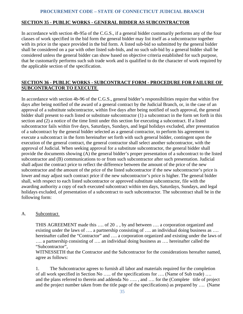#### <span id="page-37-0"></span>**SECTION 35 - PUBLIC WORKS - GENERAL BIDDER AS SUBCONTRACTOR**

In accordance with section 4b-95a of the C.G.S., if a general bidder customarily performs any of the four classes of work specified in the bid form the general bidder may list itself as a subcontractor together with its price in the space provided in the bid form. A listed sub-bid so submitted by the general bidder shall be considered on a par with other listed sub-bids, and no such sub-bid by a general bidder shall be considered unless the general bidder can show based on objective criteria established for such purpose, that he customarily performs such sub trade work and is qualified to do the character of work required by the applicable section of the specification.

# <span id="page-37-1"></span>**SECTION 36 - PUBLIC WORKS - SUBCONTRACT FORM - PROCEDURE FOR FAILURE OF SUBCONTRACTOR TO EXECUTE**

In accordance with section 4b-96 of the C.G.S., general bidder's responsibilities require that within five days after being notified of the award of a general contract by the Judicial Branch, or, in the case of an approval of a substitute subcontractor, within five days after being notified of such approval, the general bidder shall present to each listed or substitute subcontractor (1) a subcontract in the form set forth in this section and (2) a notice of the time limit under this section for executing a subcontract. If a listed subcontractor fails within five days, Saturdays, Sundays, and legal holidays excluded, after presentation of a subcontract by the general bidder selected as a general contractor, to perform his agreement to execute a subcontract in the form hereinafter set forth with such general bidder, contingent upon the execution of the general contract, the general contractor shall select another subcontractor, with the approval of Judicial. When seeking approval for a substitute subcontractor, the general bidder shall provide the documents showing (A) the general bidder's proper presentation of a subcontract to the listed subcontractor and (B) communications to or from such subcontractor after such presentation. Judicial shall adjust the contract price to reflect the difference between the amount of the price of the new subcontractor and the amount of the price of the listed subcontractor if the new subcontractor's price is lower and may adjust such contract price if the new subcontractor's price is higher. The general bidder shall, with respect to each listed subcontractor or approved substitute subcontractor, file with the awarding authority a copy of each executed subcontract within ten days, Saturdays, Sundays, and legal holidays excluded, of presentation of a subcontract to such subcontractor. The subcontract shall be in the following form:

#### A. Subcontract

THIS AGREEMENT made this …. of 20 .. , by and between …. a corporation organized and existing under the laws of …. a partnership consisting of …. an individual doing business as …. hereinafter called the "Contractor" and .... a corporation organized and existing under the laws of …. a partnership consisting of …. an individual doing business as …. hereinafter called the "Subcontractor",

WITNESSETH that the Contractor and the Subcontractor for the considerations hereafter named, agree as follows:

1. The Subcontractor agrees to furnish all labor and materials required for the completion of all work specified in Section No ….. of the specifications for …. (Name of Sub trade) …. and the plans referred to therein and addenda No ....., and .... for the (Complete title of project and the project number taken from the title page of the specifications) as prepared by …. (Name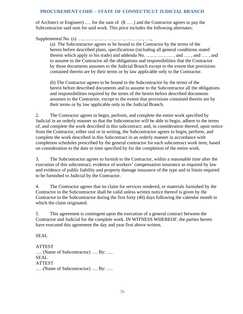of Architect or Engineer) …. for the sum of (\$ …. ) and the Contractor agrees to pay the Subcontractor said sum for said work. This price includes the following alternates:

Supplemental No. (s) ..., ....., ...., ...., ...., ...., ...., ....,

(a) The Subcontractor agrees to be bound to the Contractor by the terms of the herein before described plans, specifications (including all general conditions stated therein which apply to his trade) and addenda No.  $\dots$ ,  $\dots$ ,  $\dots$ , and  $\dots$ , and  $\dots$ , and to assume to the Contractor all the obligations and responsibilities that the Contractor by those documents assumes to the Judicial Branch except to the extent that provisions contained therein are by their terms or by law applicable only to the Contractor.

(b) The Contractor agrees to be bound to the Subcontractor by the terms of the herein before described documents and to assume to the Subcontractor all the obligations and responsibilities required by the terms of the herein before described documents assumes to the Contractor, except to the extent that provisions contained therein are by their terms or by law applicable only to the Judicial Branch.

2. The Contractor agrees to begin, perform, and complete the entire work specified by Judicial in an orderly manner so that the Subcontractor will be able to begin, adhere to the terms of, and complete the work described in this subcontract; and, in consideration thereof, upon notice from the Contractor, either oral or in writing, the Subcontractor agrees to begin, perform, and complete the work described in this Subcontract in an orderly manner in accordance with completion schedules prescribed by the general contractor for each subcontract work item, based on consideration to the date or time specified by for the completion of the entire work.

3. The Subcontractor agrees to furnish to the Contractor, within a reasonable time after the execution of this subcontract, evidence of workers' compensation insurance as required by law and evidence of public liability and property damage insurance of the type and in limits required to be furnished to Judicial by the Contractor.

4. The Contractor agrees that no claim for services rendered, or materials furnished by the Contractor to the Subcontractor shall be valid unless written notice thereof is given by the Contractor to the Subcontractor during the first forty (40) days following the calendar month in which the claim originated.

5. This agreement is contingent upon the execution of a general contract between the Contractor and Judicial for the complete work. IN WITNESS WHEREOF, the parties hereto have executed this agreement the day and year first above written.

SEAL

ATTEST …. (Name of Subcontractor) …. By: …. SEAL ATTEST …. (Name of Subcontractor) …. By: ….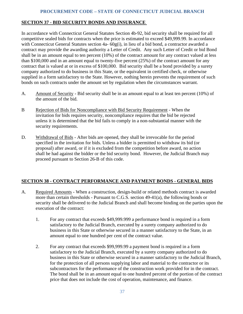## <span id="page-39-0"></span>**SECTION 37 - BID SECURITY BONDS AND INSURANCE**

In accordance with Connecticut General Statutes Section 4b-92, bid security shall be required for all competitive sealed bids for contracts when the price is estimated to exceed \$49,999.99. In accordance with Connecticut General Statutes section 4a- 60g(i), in lieu of a bid bond, a contractor awarded a contract may provide the awarding authority a Letter of Credit. Any such Letter of Credit or bid Bond shall be in an amount equal to ten percent (10%) of the contract amount for any contract valued at less than \$100,000 and in an amount equal to twenty-five percent (25%) of the contract amount for any contract that is valued at or in excess of \$100,000. Bid security shall be a bond provided by a surety company authorized to do business in this State, or the equivalent in certified check, or otherwise supplied in a form satisfactory to the State. However, nothing herein prevents the requirement of such bonds on such contracts under the amount set by regulation when the circumstances warrant.

- A. Amount of Security Bid security shall be in an amount equal to at least ten percent (10%) of the amount of the bid.
- B Rejection of Bids for Noncompliance with Bid Security Requirement When the invitation for bids requires security, noncompliance requires that the bid be rejected unless it is determined that the bid fails to comply in a non-substantial manner with the security requirements.
- D. Withdrawal of Bids After bids are opened, they shall be irrevocable for the period specified in the invitation for bids. Unless a bidder is permitted to withdraw its bid (or proposal) after award, or if it is excluded from the competition before award, no action shall be had against the bidder or the bid security bond. However, the Judicial Branch may proceed pursuant to Section 26-B of this code.

# <span id="page-39-1"></span>**SECTION 38 - CONTRACT PERFORMANCE AND PAYMENT BONDS - GENERAL BIDS**

- A. Required Amounts When a construction, design-build or related methods contract is awarded more than certain thresholds - Pursuant to C.G.S. section 49-41(a), the following bonds or security shall be delivered to the Judicial Branch and shall become binding on the parties upon the execution of the contract:
	- 1. For any contract that exceeds \$49,999.999 a performance bond is required in a form satisfactory to the Judicial Branch, executed by a surety company authorized to do business in this State or otherwise secured in a manner satisfactory to the State, in an amount equal to one hundred per cent of the contract value.
	- 2. For any contract that exceeds \$99,999.99 a payment bond is required in a form satisfactory to the Judicial Branch, executed by a surety company authorized to do business in this State or otherwise secured in a manner satisfactory to the Judicial Branch, for the protection of all persons supplying labor and material to the contractor or its subcontractors for the performance of the construction work provided for in the contract. The bond shall be in an amount equal to one hundred percent of the portion of the contract price that does not include the cost of operation, maintenance, and finance.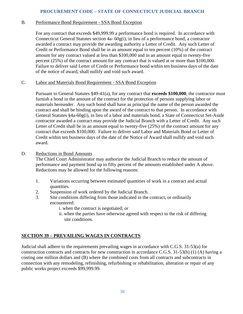#### B. Performance Bond Requirement - SSA Bond Exception

For any contract that exceeds \$49,999.99 a performance bond is required. In accordance with Connecticut General Statutes section 4a- 60g(i), in lieu of a performance bond, a contractor awarded a contract may provide the awarding authority a Letter of Credit. Any such Letter of Credit or Performance Bond shall be in an amount equal to ten percent (10%) of the contract amount for any contract valued at less than \$100,000 and in an amount equal to twenty-five percent (25%) of the contract amount for any contract that is valued at or more than \$100,000. Failure to deliver said Letter of Credit or Performance bond within ten business days of the date of the notice of award, shall nullify and void such award.

#### C. Labor and Materials Bond Requirement - SSA Bond Exception

Pursuant to General Statutes §49-41(a), for any contract that **exceeds \$100,000**, the contractor must furnish a bond in the amount of the contract for the protection of persons supplying labor or materials hereunder. Any such bond shall have as principal the name of the person awarded the contract and shall be binding upon the award of the contract to that person. In accordance with General Statutes §4a-60g(i), in lieu of a labor and materials bond, a State of Connecticut Set-Aside contractor awarded a contract may provide the Judicial Branch with a Letter of Credit. Any such Letter of Credit shall be in an amount equal to twenty-five (25%) of the contract amount for any contract that exceeds \$100,000. Failure to deliver said Labor and Materials Bond or Letter of Credit within ten business days of the date of the Notice of Award shall nullify and void such award.

#### D. Reductions in Bond Amounts

The Chief Court Administrator may authorize the Judicial Branch to reduce the amount of performance and payment bond up to fifty percent of the amounts established under A above. Reductions may be allowed for the following reasons:

- 1. Variations occurring between estimated quantities of work in a contract and actual quantities.
- 2. Suspension of work ordered by the Judicial Branch.
- 3. Site conditions differing from those indicated in the contract, or ordinarily encountered:
	- i. when the contract is negotiated; or
	- ii. when the parties have otherwise agreed with respect to the risk of differing site conditions.

# <span id="page-40-0"></span>**SECTION 39 – PREVAILING WAGES IN CONTRACTS**

Judicial shall adhere to the requirements prevailing wages in accordance with C.G.S. 31-53(a) for construction contracts and contracts for new construction in accordance C.G.S. 31-53(h) (1) (A) having a costing one million dollars and (B) where the combined costs from all contracts and subcontracts in connection with any remodeling, refinishing, refurbishing or rehabilitation, alteration or repair of any public works project exceeds \$99,999.99.